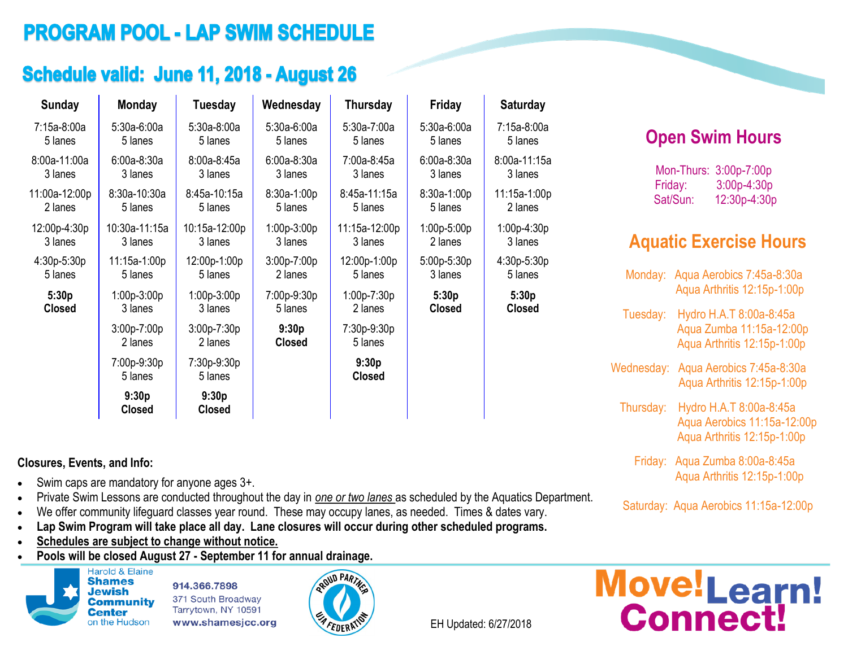# **PROGRAM POOL - LAP SWIM SCHEDULE**

## Schedule valid: June 11, 2018 - August 26

| <b>Sunday</b> | <b>Monday</b>            | Tuesday                  | Wednesday              | <b>Thursday</b>        | Friday        | <b>Saturday</b> |
|---------------|--------------------------|--------------------------|------------------------|------------------------|---------------|-----------------|
| 7:15a-8:00a   | $5:30a-6:00a$            | $5:30a-8:00a$            | $5:30a-6:00a$          | 5:30a-7:00a            | $5:30a-6:00a$ | 7:15a-8:00a     |
| 5 lanes       | 5 lanes                  | 5 lanes                  | 5 lanes                | 5 lanes                | 5 lanes       | 5 lanes         |
| 8:00a-11:00a  | $6:00a-8:30a$            | $8:00a-8:45a$            | $6:00a-8:30a$          | 7:00a-8:45a            | $6:00a-8:30a$ | 8:00a-11:15a    |
| 3 lanes       | 3 lanes                  | 3 lanes                  | 3 lanes                | 3 lanes                | 3 lanes       | 3 lanes         |
| 11:00a-12:00p | 8:30a-10:30a             | 8:45a-10:15a             | 8:30a-1:00p            | 8:45a-11:15a           | 8:30a-1:00p   | 11:15a-1:00p    |
| 2 lanes       | 5 lanes                  | 5 lanes                  | 5 lanes                | 5 lanes                | 5 lanes       | 2 lanes         |
| 12:00p-4:30p  | 10:30a-11:15a            | 10:15a-12:00p            | $1:00p-3:00p$          | 11:15a-12:00p          | $1:00p-5:00p$ | 1:00p-4:30p     |
| 3 lanes       | 3 lanes                  | 3 lanes                  | 3 lanes                | 3 lanes                | 2 lanes       | 3 lanes         |
| 4:30p-5:30p   | 11:15a-1:00p             | 12:00p-1:00p             | $3:00p-7:00p$          | 12:00p-1:00p           | 5:00p-5:30p   | 4:30p-5:30p     |
| 5 lanes       | 5 lanes                  | 5 lanes                  | 2 lanes                | 5 lanes                | 3 lanes       | 5 lanes         |
| 5:30p         | $1:00p-3:00p$            | $1:00p-3:00p$            | 7:00p-9:30p            | $1:00p-7:30p$          | 5:30p         | 5:30p           |
| <b>Closed</b> | 3 lanes                  | 3 lanes                  | 5 lanes                | 2 lanes                | <b>Closed</b> | <b>Closed</b>   |
|               | $3:00p-7:00p$<br>2 lanes | $3:00p-7:30p$<br>2 lanes | 9:30p<br><b>Closed</b> | 7:30p-9:30p<br>5 lanes |               |                 |
|               | 7:00p-9:30p<br>5 lanes   | 7:30p-9:30p<br>5 lanes   |                        | 9:30p<br><b>Closed</b> |               |                 |
|               | 9:30p<br><b>Closed</b>   | 9:30p<br><b>Closed</b>   |                        |                        |               |                 |

#### **Closures, Events, and Info:**

- $\bullet$  Swim caps are mandatory for anyone ages  $3+$ .
- Private Swim Lessons are conducted throughout the day in *one or two lanes* as scheduled by the Aquatics Department.
- We offer community lifeguard classes year round. These may occupy lanes, as needed. Times & dates vary.
- **Lap Swim Program will take place all day. Lane closures will occur during other scheduled programs.**
- **Schedules are subject to change without notice.**
- **Pools will be closed August 27 - September 11 for annual drainage.**



914.366.7898 371 South Broadway Tarrytown, NY 10591 www.shamesjcc.org



EH Updated: 6/27/2018

## **Open Swim Hours**

Mon-Thurs: 3:00p-7:00p Friday: 3:00p-4:30p Sat/Sun: 12:30p-4:30p

## **Aquatic Exercise Hours**

| Monday:    | Aqua Aerobics 7:45a-8:30a<br>Aqua Arthritis 12:15p-1:00p                              |
|------------|---------------------------------------------------------------------------------------|
| Tuesday:   | Hydro H.A.T 8:00a-8:45a<br>Aqua Zumba 11:15a-12:00p<br>Aqua Arthritis 12:15p-1:00p    |
| Wednesday: | Aqua Aerobics 7:45a-8:30a<br>Aqua Arthritis 12:15p-1:00p                              |
| Thursday:  | Hydro H.A.T 8:00a-8:45a<br>Aqua Aerobics 11:15a-12:00p<br>Agua Arthritis 12:15p-1:00p |
| Friday:    | Aqua Zumba 8:00a-8:45a<br>Aqua Arthritis 12:15p-1:00p                                 |
|            |                                                                                       |

Saturday: Aqua Aerobics 11:15a-12:00p